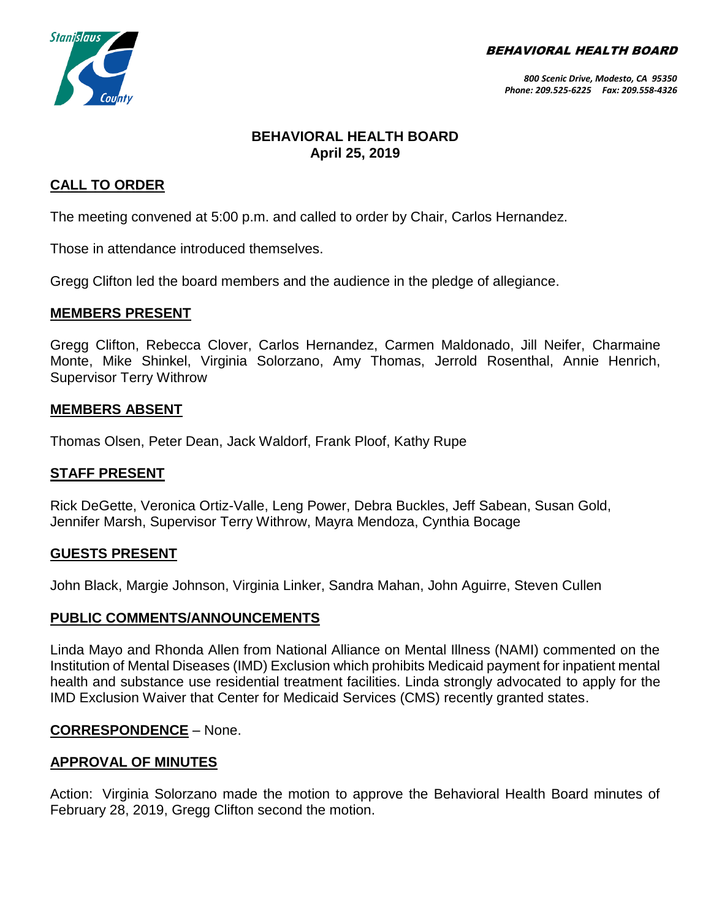BEHAVIORAL HEALTH BOARD



# **BEHAVIORAL HEALTH BOARD April 25, 2019**

## **CALL TO ORDER**

The meeting convened at 5:00 p.m. and called to order by Chair, Carlos Hernandez.

Those in attendance introduced themselves.

Gregg Clifton led the board members and the audience in the pledge of allegiance.

#### **MEMBERS PRESENT**

Gregg Clifton, Rebecca Clover, Carlos Hernandez, Carmen Maldonado, Jill Neifer, Charmaine Monte, Mike Shinkel, Virginia Solorzano, Amy Thomas, Jerrold Rosenthal, Annie Henrich, Supervisor Terry Withrow

#### **MEMBERS ABSENT**

Thomas Olsen, Peter Dean, Jack Waldorf, Frank Ploof, Kathy Rupe

#### **STAFF PRESENT**

Rick DeGette, Veronica Ortiz-Valle, Leng Power, Debra Buckles, Jeff Sabean, Susan Gold, Jennifer Marsh, Supervisor Terry Withrow, Mayra Mendoza, Cynthia Bocage

#### **GUESTS PRESENT**

John Black, Margie Johnson, Virginia Linker, Sandra Mahan, John Aguirre, Steven Cullen

#### **PUBLIC COMMENTS/ANNOUNCEMENTS**

Linda Mayo and Rhonda Allen from National Alliance on Mental Illness (NAMI) commented on the Institution of Mental Diseases (IMD) Exclusion which prohibits Medicaid payment for inpatient mental health and substance use residential treatment facilities. Linda strongly advocated to apply for the IMD Exclusion Waiver that Center for Medicaid Services (CMS) recently granted states.

#### **CORRESPONDENCE** – None.

#### **APPROVAL OF MINUTES**

Action: Virginia Solorzano made the motion to approve the Behavioral Health Board minutes of February 28, 2019, Gregg Clifton second the motion.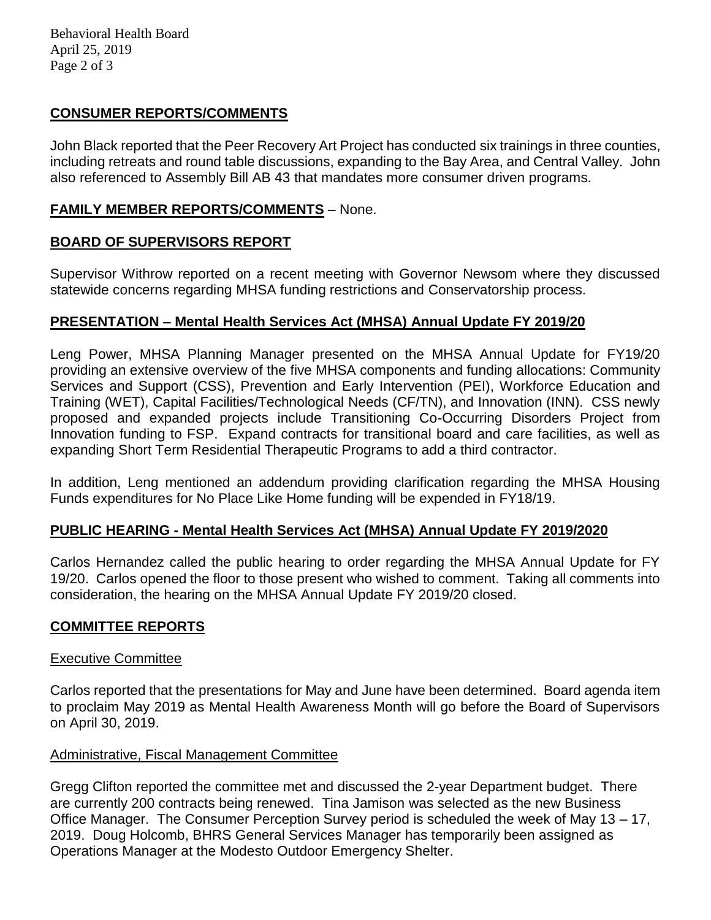Behavioral Health Board April 25, 2019 Page 2 of 3

## **CONSUMER REPORTS/COMMENTS**

John Black reported that the Peer Recovery Art Project has conducted six trainings in three counties, including retreats and round table discussions, expanding to the Bay Area, and Central Valley. John also referenced to Assembly Bill AB 43 that mandates more consumer driven programs.

## **FAMILY MEMBER REPORTS/COMMENTS** – None.

# **BOARD OF SUPERVISORS REPORT**

Supervisor Withrow reported on a recent meeting with Governor Newsom where they discussed statewide concerns regarding MHSA funding restrictions and Conservatorship process.

## **PRESENTATION – Mental Health Services Act (MHSA) Annual Update FY 2019/20**

Leng Power, MHSA Planning Manager presented on the MHSA Annual Update for FY19/20 providing an extensive overview of the five MHSA components and funding allocations: Community Services and Support (CSS), Prevention and Early Intervention (PEI), Workforce Education and Training (WET), Capital Facilities/Technological Needs (CF/TN), and Innovation (INN). CSS newly proposed and expanded projects include Transitioning Co-Occurring Disorders Project from Innovation funding to FSP. Expand contracts for transitional board and care facilities, as well as expanding Short Term Residential Therapeutic Programs to add a third contractor.

In addition, Leng mentioned an addendum providing clarification regarding the MHSA Housing Funds expenditures for No Place Like Home funding will be expended in FY18/19.

#### **PUBLIC HEARING - Mental Health Services Act (MHSA) Annual Update FY 2019/2020**

Carlos Hernandez called the public hearing to order regarding the MHSA Annual Update for FY 19/20. Carlos opened the floor to those present who wished to comment. Taking all comments into consideration, the hearing on the MHSA Annual Update FY 2019/20 closed.

#### **COMMITTEE REPORTS**

#### Executive Committee

Carlos reported that the presentations for May and June have been determined. Board agenda item to proclaim May 2019 as Mental Health Awareness Month will go before the Board of Supervisors on April 30, 2019.

#### Administrative, Fiscal Management Committee

Gregg Clifton reported the committee met and discussed the 2-year Department budget. There are currently 200 contracts being renewed. Tina Jamison was selected as the new Business Office Manager. The Consumer Perception Survey period is scheduled the week of May 13 – 17, 2019. Doug Holcomb, BHRS General Services Manager has temporarily been assigned as Operations Manager at the Modesto Outdoor Emergency Shelter.